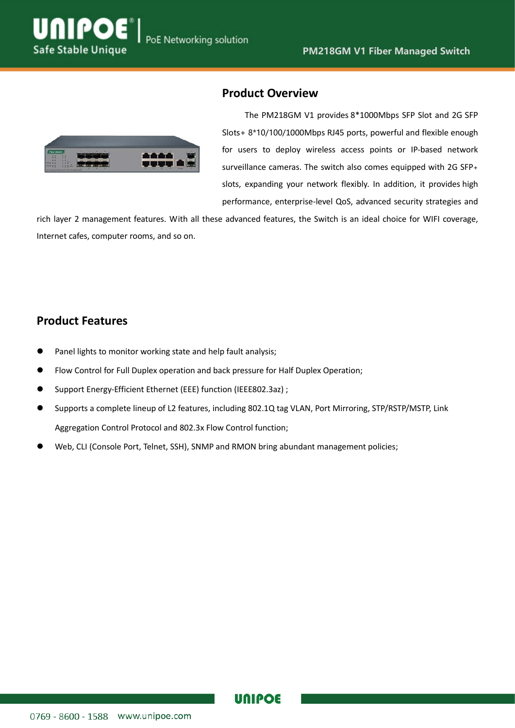

#### **Product Overview**

The PM218GM V1 provides 8\*1000Mbps SFP Slot and 2G SFP Slots+ 8\*10/100/1000Mbps RJ45 ports, powerful and flexible enough for users to deploy wireless access points or IP-based network surveillance cameras. The switch also comes equipped with 2G SFP+ slots, expanding your network flexibly. In addition, it provides high performance, enterprise-level QoS, advanced security strategies and

rich layer 2 management features. With all these advanced features, the Switch is an ideal choice for WIFI coverage, Internet cafes, computer rooms, and so on.

#### **Product Features**

- Panel lights to monitor working state and help fault analysis;
- Flow Control for Full Duplex operation and back pressure for Half Duplex Operation;
- Support Energy-Efficient Ethernet (EEE) function (IEEE802.3az) ;
- Supports a complete lineup of L2 features, including 802.1Q tag VLAN, Port Mirroring, STP/RSTP/MSTP, Link Aggregation Control Protocol and 802.3x Flow Control function;
- Web, CLI (Console Port, Telnet, SSH), SNMP and RMON bring abundant management policies;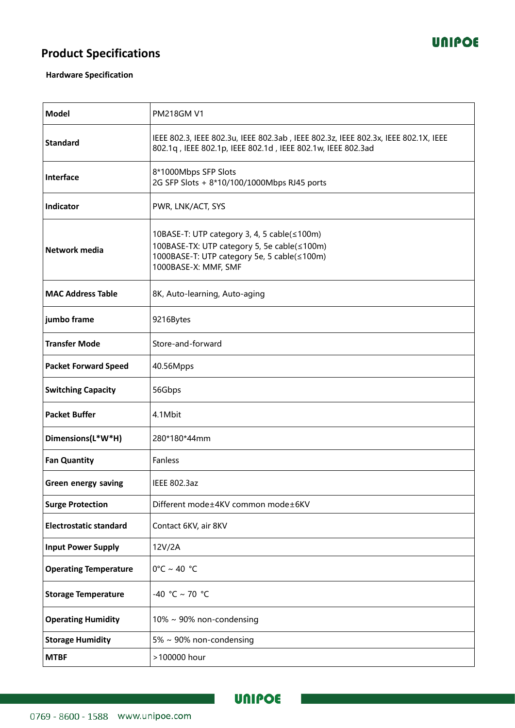## **Product Specifications**

### **Hardware Specification**

| <b>Model</b>                  | <b>PM218GM V1</b>                                                                                                                                                 |  |
|-------------------------------|-------------------------------------------------------------------------------------------------------------------------------------------------------------------|--|
| <b>Standard</b>               | IEEE 802.3, IEEE 802.3u, IEEE 802.3ab, IEEE 802.3z, IEEE 802.3x, IEEE 802.1X, IEEE<br>802.1q, IEEE 802.1p, IEEE 802.1d, IEEE 802.1w, IEEE 802.3ad                 |  |
| Interface                     | 8*1000Mbps SFP Slots<br>2G SFP Slots + 8*10/100/1000Mbps RJ45 ports                                                                                               |  |
| <b>Indicator</b>              | PWR, LNK/ACT, SYS                                                                                                                                                 |  |
| Network media                 | 10BASE-T: UTP category 3, 4, 5 cable(≤100m)<br>100BASE-TX: UTP category 5, 5e cable(≤100m)<br>1000BASE-T: UTP category 5e, 5 cable(≤100m)<br>1000BASE-X: MMF, SMF |  |
| <b>MAC Address Table</b>      | 8K, Auto-learning, Auto-aging                                                                                                                                     |  |
| jumbo frame                   | 9216Bytes                                                                                                                                                         |  |
| <b>Transfer Mode</b>          | Store-and-forward                                                                                                                                                 |  |
| <b>Packet Forward Speed</b>   | 40.56Mpps                                                                                                                                                         |  |
| <b>Switching Capacity</b>     | 56Gbps                                                                                                                                                            |  |
| <b>Packet Buffer</b>          | 4.1 Mbit                                                                                                                                                          |  |
| Dimensions(L*W*H)             | 280*180*44mm                                                                                                                                                      |  |
| <b>Fan Quantity</b>           | Fanless                                                                                                                                                           |  |
| <b>Green energy saving</b>    | <b>IEEE 802.3az</b>                                                                                                                                               |  |
| <b>Surge Protection</b>       | Different mode±4KV common mode±6KV                                                                                                                                |  |
| <b>Electrostatic standard</b> | Contact 6KV, air 8KV                                                                                                                                              |  |
| <b>Input Power Supply</b>     | 12V/2A                                                                                                                                                            |  |
| <b>Operating Temperature</b>  | $0^{\circ}$ C ~ 40 $^{\circ}$ C                                                                                                                                   |  |
| <b>Storage Temperature</b>    | -40 °C ~ 70 °C                                                                                                                                                    |  |
| <b>Operating Humidity</b>     | 10% ~ 90% non-condensing                                                                                                                                          |  |
| <b>Storage Humidity</b>       | 5% ~ 90% non-condensing                                                                                                                                           |  |
| <b>MTBF</b>                   | >100000 hour                                                                                                                                                      |  |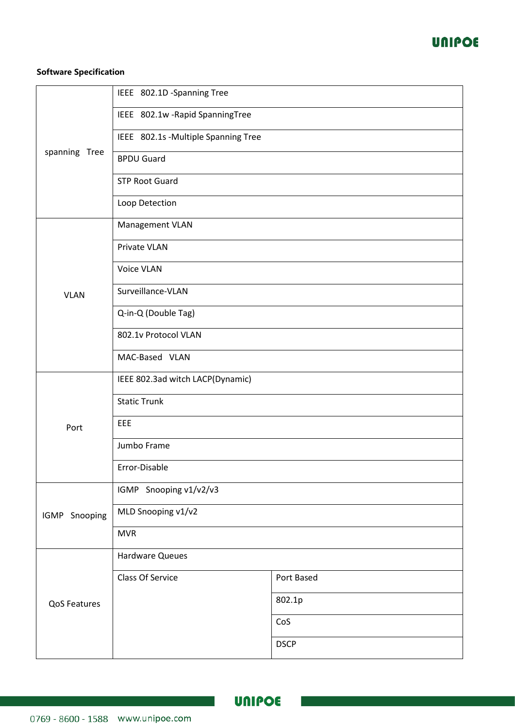

#### **Software Specification**

|               | IEEE 802.1D -Spanning Tree          |             |  |
|---------------|-------------------------------------|-------------|--|
|               | IEEE 802.1w - Rapid Spanning Tree   |             |  |
|               | IEEE 802.1s -Multiple Spanning Tree |             |  |
| spanning Tree | <b>BPDU Guard</b>                   |             |  |
|               | <b>STP Root Guard</b>               |             |  |
|               | Loop Detection                      |             |  |
|               | Management VLAN                     |             |  |
|               | Private VLAN                        |             |  |
|               | Voice VLAN                          |             |  |
| <b>VLAN</b>   | Surveillance-VLAN                   |             |  |
|               | Q-in-Q (Double Tag)                 |             |  |
|               | 802.1v Protocol VLAN                |             |  |
|               | MAC-Based VLAN                      |             |  |
|               | IEEE 802.3ad witch LACP(Dynamic)    |             |  |
|               | <b>Static Trunk</b>                 |             |  |
| Port          | EEE                                 |             |  |
|               | Jumbo Frame                         |             |  |
|               | Error-Disable                       |             |  |
| IGMP Snooping | IGMP Snooping v1/v2/v3              |             |  |
|               | MLD Snooping v1/v2                  |             |  |
|               | <b>MVR</b>                          |             |  |
| QoS Features  | Hardware Queues                     |             |  |
|               | <b>Class Of Service</b>             | Port Based  |  |
|               |                                     | 802.1p      |  |
|               |                                     | CoS         |  |
|               |                                     | <b>DSCP</b> |  |

ı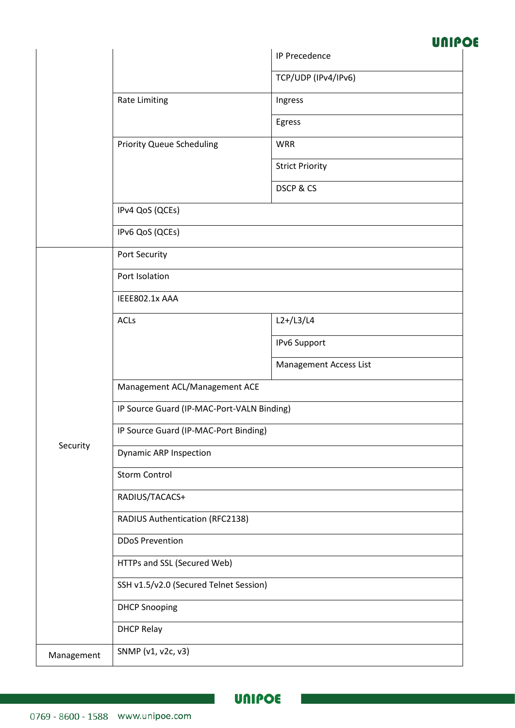# **UNIPOE**

|          |                                            | IP Precedence          |  |
|----------|--------------------------------------------|------------------------|--|
|          |                                            | TCP/UDP (IPv4/IPv6)    |  |
|          | <b>Rate Limiting</b>                       | Ingress                |  |
|          |                                            | Egress                 |  |
|          | <b>Priority Queue Scheduling</b>           | <b>WRR</b>             |  |
|          |                                            | <b>Strict Priority</b> |  |
|          |                                            | DSCP & CS              |  |
|          | IPv4 QoS (QCEs)                            |                        |  |
|          | IPv6 QoS (QCEs)                            |                        |  |
|          | Port Security                              |                        |  |
|          | Port Isolation                             |                        |  |
|          | IEEE802.1x AAA                             |                        |  |
|          | <b>ACLs</b>                                | $L2+/L3/L4$            |  |
|          |                                            | IPv6 Support           |  |
|          |                                            |                        |  |
|          |                                            | Management Access List |  |
|          | Management ACL/Management ACE              |                        |  |
|          | IP Source Guard (IP-MAC-Port-VALN Binding) |                        |  |
|          | IP Source Guard (IP-MAC-Port Binding)      |                        |  |
| Security | <b>Dynamic ARP Inspection</b>              |                        |  |
|          | <b>Storm Control</b>                       |                        |  |
|          | RADIUS/TACACS+                             |                        |  |
|          | RADIUS Authentication (RFC2138)            |                        |  |
|          | <b>DDoS Prevention</b>                     |                        |  |
|          | HTTPs and SSL (Secured Web)                |                        |  |
|          | SSH v1.5/v2.0 (Secured Telnet Session)     |                        |  |
|          | <b>DHCP Snooping</b>                       |                        |  |
|          | <b>DHCP Relay</b>                          |                        |  |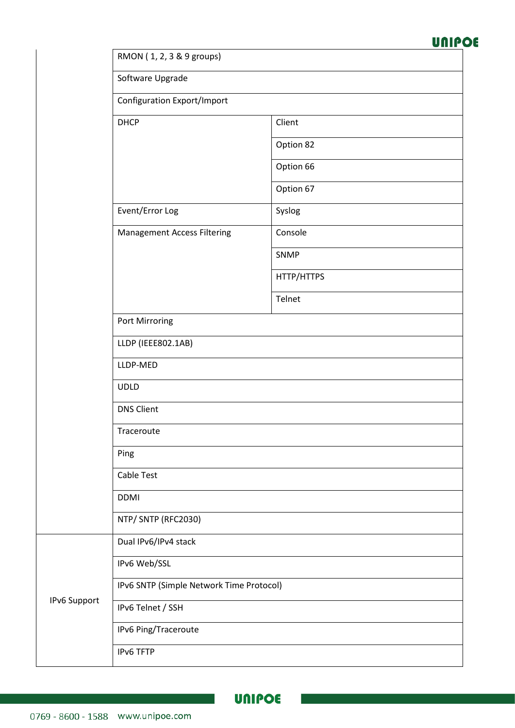### **UNIPOE**

|              | RMON (1, 2, 3 & 9 groups)                                       |            |  |
|--------------|-----------------------------------------------------------------|------------|--|
|              | Software Upgrade                                                |            |  |
|              | <b>Configuration Export/Import</b>                              |            |  |
|              | <b>DHCP</b>                                                     | Client     |  |
|              |                                                                 | Option 82  |  |
|              |                                                                 | Option 66  |  |
|              |                                                                 | Option 67  |  |
|              | Event/Error Log                                                 | Syslog     |  |
|              | <b>Management Access Filtering</b>                              | Console    |  |
|              |                                                                 | SNMP       |  |
|              |                                                                 | HTTP/HTTPS |  |
|              |                                                                 | Telnet     |  |
|              | Port Mirroring<br>LLDP (IEEE802.1AB)<br>LLDP-MED<br><b>UDLD</b> |            |  |
|              |                                                                 |            |  |
|              |                                                                 |            |  |
|              |                                                                 |            |  |
|              | <b>DNS Client</b>                                               |            |  |
|              | Traceroute                                                      |            |  |
|              | Ping                                                            |            |  |
|              | <b>Cable Test</b>                                               |            |  |
|              | <b>DDMI</b><br>NTP/ SNTP (RFC2030)                              |            |  |
|              |                                                                 |            |  |
|              | Dual IPv6/IPv4 stack                                            |            |  |
|              | IPv6 Web/SSL                                                    |            |  |
|              | IPv6 SNTP (Simple Network Time Protocol)                        |            |  |
| IPv6 Support | IPv6 Telnet / SSH                                               |            |  |
|              | IPv6 Ping/Traceroute                                            |            |  |
|              | IPv6 TFTP                                                       |            |  |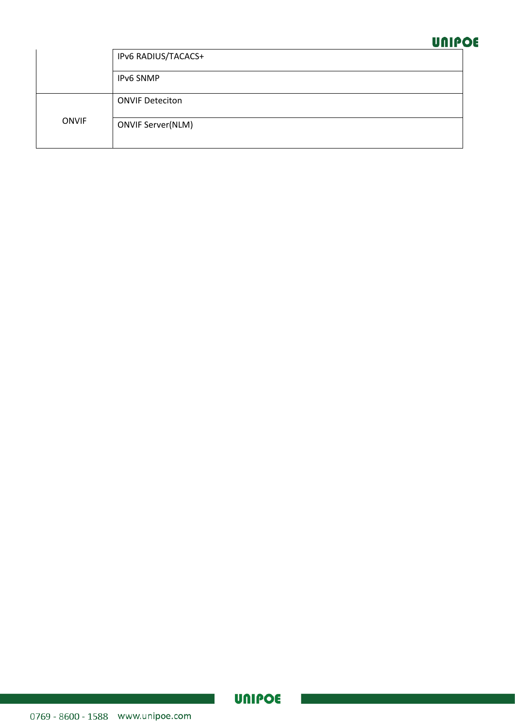### **UNIPOE**

|              | IPv6 RADIUS/TACACS+      |
|--------------|--------------------------|
|              | IPv6 SNMP                |
| <b>ONVIF</b> | <b>ONVIF Deteciton</b>   |
|              | <b>ONVIF Server(NLM)</b> |